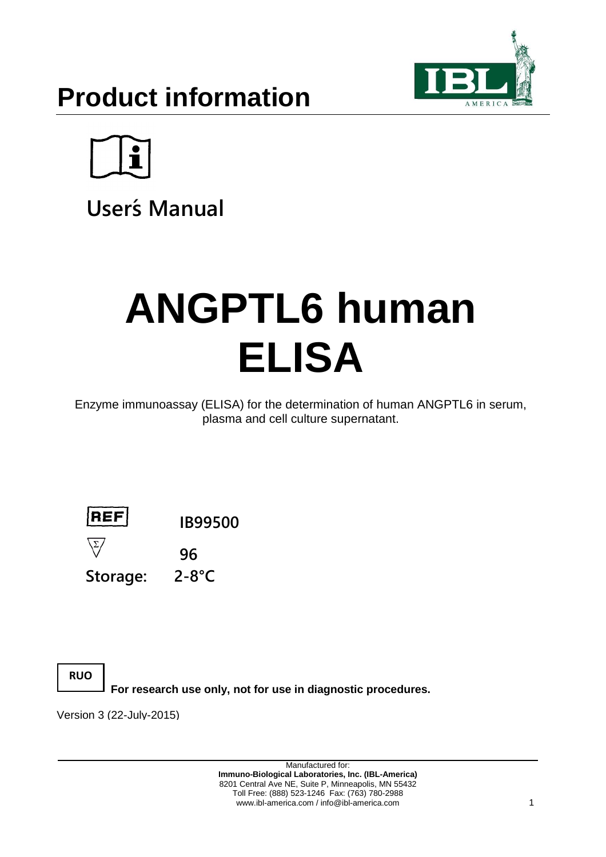



**User´s Manual**

# **ANGPTL6 human ELISA**

Enzyme immunoassay (ELISA) for the determination of human ANGPTL6 in serum, plasma and cell culture supernatant.



**Storage: 2-8°C**

**RUO**

**For research use only, not for use in diagnostic procedures.**

Version 3 (22-July-2015)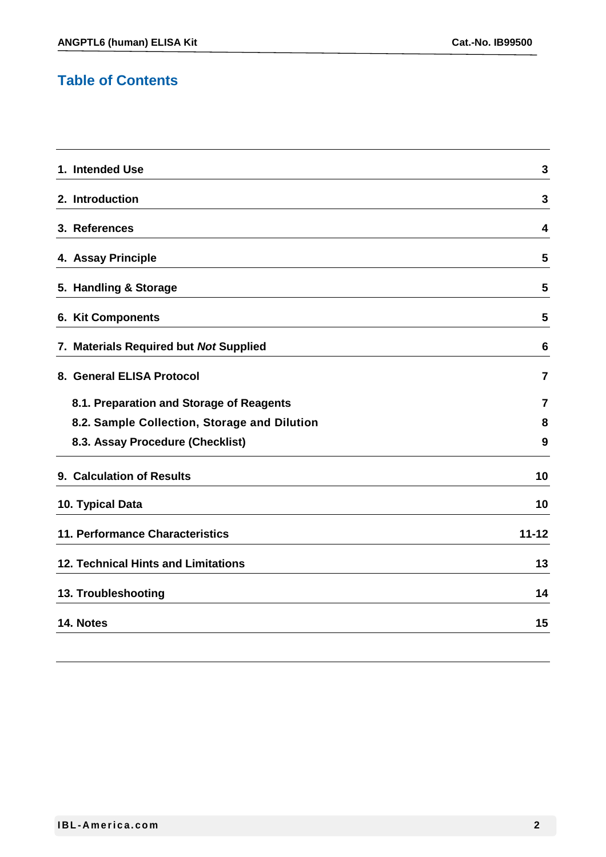## **Table of Contents**

| 1. Intended Use                              | 3         |
|----------------------------------------------|-----------|
| 2. Introduction                              | 3         |
| 3. References                                | 4         |
| 4. Assay Principle                           | 5         |
| 5. Handling & Storage                        | 5         |
| 6. Kit Components                            | 5         |
| 7. Materials Required but Not Supplied       | 6         |
| 8. General ELISA Protocol                    | 7         |
| 8.1. Preparation and Storage of Reagents     | 7         |
| 8.2. Sample Collection, Storage and Dilution | 8         |
| 8.3. Assay Procedure (Checklist)             | 9         |
| 9. Calculation of Results                    | 10        |
| 10. Typical Data                             | 10        |
| 11. Performance Characteristics              | $11 - 12$ |
| <b>12. Technical Hints and Limitations</b>   | 13        |
| 13. Troubleshooting                          | 14        |
| 14. Notes                                    | 15        |
|                                              |           |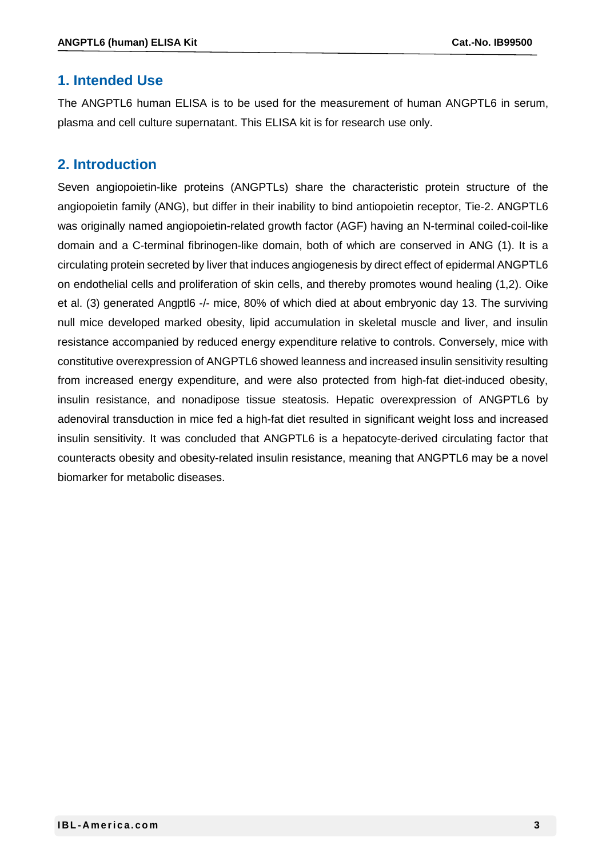#### **1. Intended Use**

The ANGPTL6 human ELISA is to be used for the measurement of human ANGPTL6 in serum, plasma and cell culture supernatant. This ELISA kit is for research use only.

#### **2. Introduction**

Seven angiopoietin-like proteins (ANGPTLs) share the characteristic protein structure of the angiopoietin family (ANG), but differ in their inability to bind antiopoietin receptor, Tie-2. ANGPTL6 was originally named angiopoietin-related growth factor (AGF) having an N-terminal coiled-coil-like domain and a C-terminal fibrinogen-like domain, both of which are conserved in ANG (1). It is a circulating protein secreted by liver that induces angiogenesis by direct effect of epidermal ANGPTL6 on endothelial cells and proliferation of skin cells, and thereby promotes wound healing (1,2). Oike et al. (3) generated Angptl6 -/- mice, 80% of which died at about embryonic day 13. The surviving null mice developed marked obesity, lipid accumulation in skeletal muscle and liver, and insulin resistance accompanied by reduced energy expenditure relative to controls. Conversely, mice with constitutive overexpression of ANGPTL6 showed leanness and increased insulin sensitivity resulting from increased energy expenditure, and were also protected from high-fat diet-induced obesity, insulin resistance, and nonadipose tissue steatosis. Hepatic overexpression of ANGPTL6 by adenoviral transduction in mice fed a high-fat diet resulted in significant weight loss and increased insulin sensitivity. It was concluded that ANGPTL6 is a hepatocyte-derived circulating factor that counteracts obesity and obesity-related insulin resistance, meaning that ANGPTL6 may be a novel biomarker for metabolic diseases.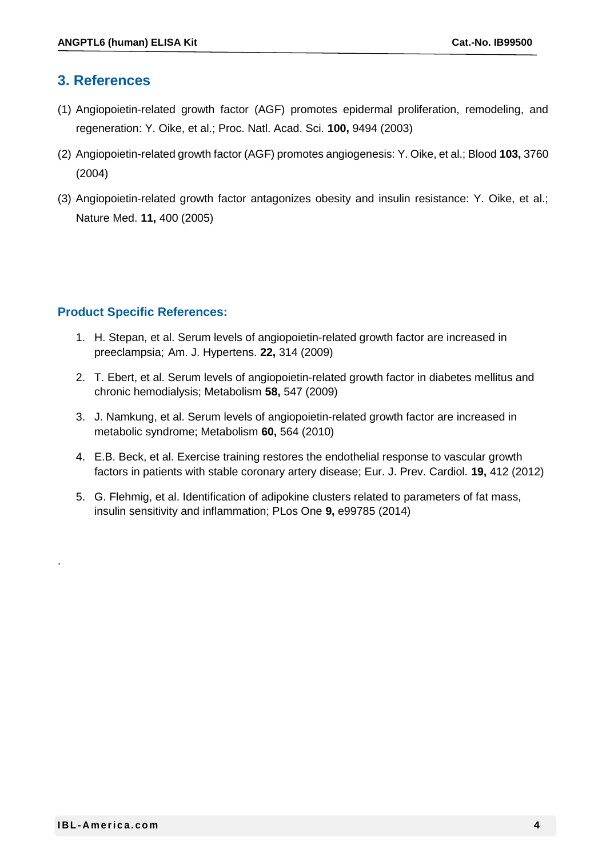#### **3. References**

- (1) Angiopoietin-related growth factor (AGF) promotes epidermal proliferation, remodeling, and regeneration: Y. Oike, et al.; Proc. Natl. Acad. Sci. **100,** 9494 (2003)
- (2) Angiopoietin-related growth factor (AGF) promotes angiogenesis: Y. Oike, et al.; Blood **103,** 3760 (2004)
- (3) Angiopoietin-related growth factor antagonizes obesity and insulin resistance: Y. Oike, et al.; Nature Med. **11,** 400 (2005)

#### **Product Specific References:**

- 1. H. Stepan, et al. Serum levels of angiopoietin-related growth factor are increased in preeclampsia; Am. J. Hypertens. **22,** 314 (2009)
- 2. T. Ebert, et al. Serum levels of angiopoietin-related growth factor in diabetes mellitus and chronic hemodialysis; Metabolism **58,** 547 (2009)
- 3. J. Namkung, et al. Serum levels of angiopoietin-related growth factor are increased in metabolic syndrome; Metabolism **60,** 564 (2010)
- 4. E.B. Beck, et al. Exercise training restores the endothelial response to vascular growth factors in patients with stable coronary artery disease; Eur. J. Prev. Cardiol. **19,** 412 (2012)
- 5. G. Flehmig, et al. Identification of adipokine clusters related to parameters of fat mass, insulin sensitivity and inflammation; PLos One **9,** e99785 (2014)

.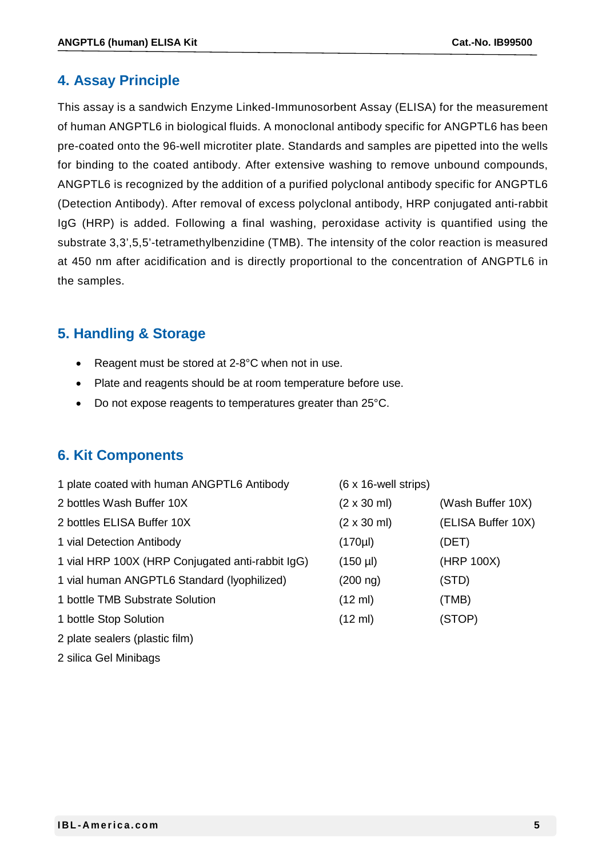### **4. Assay Principle**

This assay is a sandwich Enzyme Linked-Immunosorbent Assay (ELISA) for the measurement of human ANGPTL6 in biological fluids. A monoclonal antibody specific for ANGPTL6 has been pre-coated onto the 96-well microtiter plate. Standards and samples are pipetted into the wells for binding to the coated antibody. After extensive washing to remove unbound compounds, ANGPTL6 is recognized by the addition of a purified polyclonal antibody specific for ANGPTL6 (Detection Antibody). After removal of excess polyclonal antibody, HRP conjugated anti-rabbit IgG (HRP) is added. Following a final washing, peroxidase activity is quantified using the substrate 3,3',5,5'-tetramethylbenzidine (TMB). The intensity of the color reaction is measured at 450 nm after acidification and is directly proportional to the concentration of ANGPTL6 in the samples.

## **5. Handling & Storage**

- Reagent must be stored at 2-8°C when not in use.
- Plate and reagents should be at room temperature before use.
- Do not expose reagents to temperatures greater than 25°C.

## **6. Kit Components**

| 1 plate coated with human ANGPTL6 Antibody       | $(6 \times 16$ -well strips) |                    |
|--------------------------------------------------|------------------------------|--------------------|
| 2 bottles Wash Buffer 10X                        | $(2 \times 30 \text{ ml})$   | (Wash Buffer 10X)  |
| 2 bottles ELISA Buffer 10X                       | $(2 \times 30 \text{ ml})$   | (ELISA Buffer 10X) |
| 1 vial Detection Antibody                        | (170µ)                       | (DET)              |
| 1 vial HRP 100X (HRP Conjugated anti-rabbit IgG) | $(150 \mu l)$                | (HRP 100X)         |
| 1 vial human ANGPTL6 Standard (Iyophilized)      | $(200 \n m)$                 | (STD)              |
| 1 bottle TMB Substrate Solution                  | $(12 \text{ ml})$            | (TMB)              |
| 1 bottle Stop Solution                           | $(12 \text{ ml})$            | (STOP)             |
| 2 plate sealers (plastic film)                   |                              |                    |

2 silica Gel Minibags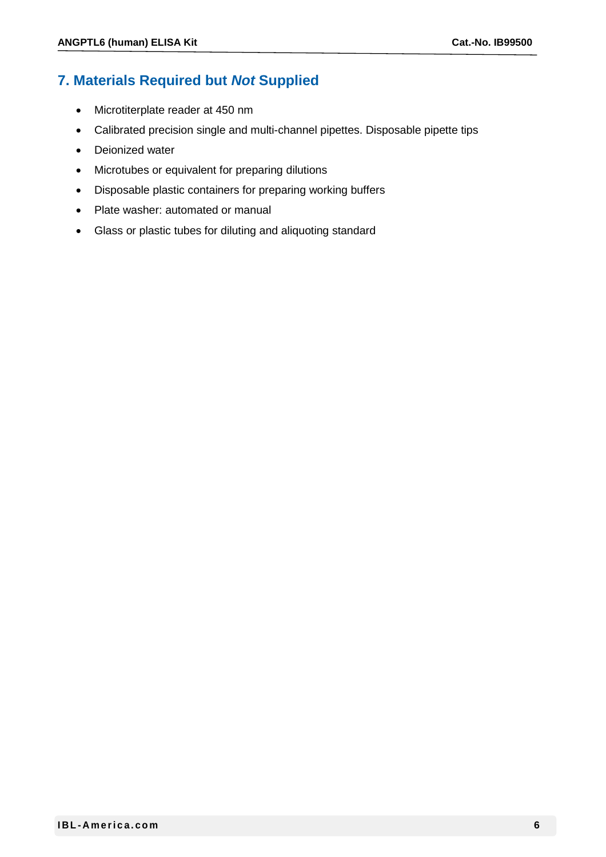## **7. Materials Required but** *Not* **Supplied**

- Microtiterplate reader at 450 nm
- Calibrated precision single and multi-channel pipettes. Disposable pipette tips
- Deionized water
- Microtubes or equivalent for preparing dilutions
- Disposable plastic containers for preparing working buffers
- Plate washer: automated or manual
- Glass or plastic tubes for diluting and aliquoting standard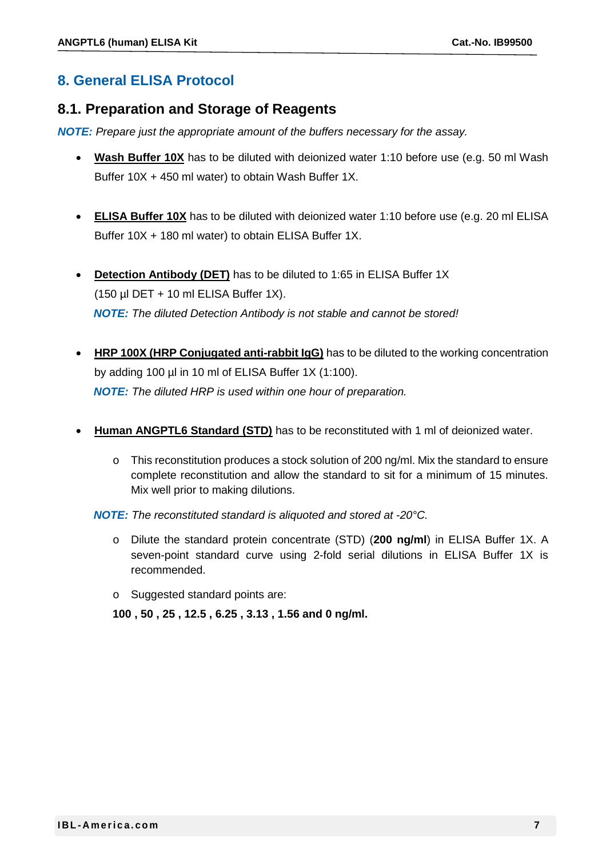## **8. General ELISA Protocol**

#### **8.1. Preparation and Storage of Reagents**

*NOTE: Prepare just the appropriate amount of the buffers necessary for the assay.*

- **Wash Buffer 10X** has to be diluted with deionized water 1:10 before use (e.g. 50 ml Wash Buffer 10X + 450 ml water) to obtain Wash Buffer 1X.
- **ELISA Buffer 10X** has to be diluted with deionized water 1:10 before use (e.g. 20 ml ELISA Buffer 10X + 180 ml water) to obtain ELISA Buffer 1X.
- **Detection Antibody (DET)** has to be diluted to 1:65 in ELISA Buffer 1X (150  $\mu$ I DET + 10 ml ELISA Buffer 1X). *NOTE: The diluted Detection Antibody is not stable and cannot be stored!*
- **HRP 100X (HRP Conjugated anti-rabbit IgG)** has to be diluted to the working concentration by adding 100 µl in 10 ml of ELISA Buffer 1X (1:100). *NOTE: The diluted HRP is used within one hour of preparation.*
- **Human ANGPTL6 Standard (STD)** has to be reconstituted with 1 ml of deionized water.
	- o This reconstitution produces a stock solution of 200 ng/ml. Mix the standard to ensure complete reconstitution and allow the standard to sit for a minimum of 15 minutes. Mix well prior to making dilutions.

*NOTE: The reconstituted standard is aliquoted and stored at -20°C.*

- o Dilute the standard protein concentrate (STD) (**200 ng/ml**) in ELISA Buffer 1X. A seven-point standard curve using 2-fold serial dilutions in ELISA Buffer 1X is recommended.
- o Suggested standard points are:

**100 , 50 , 25 , 12.5 , 6.25 , 3.13 , 1.56 and 0 ng/ml.**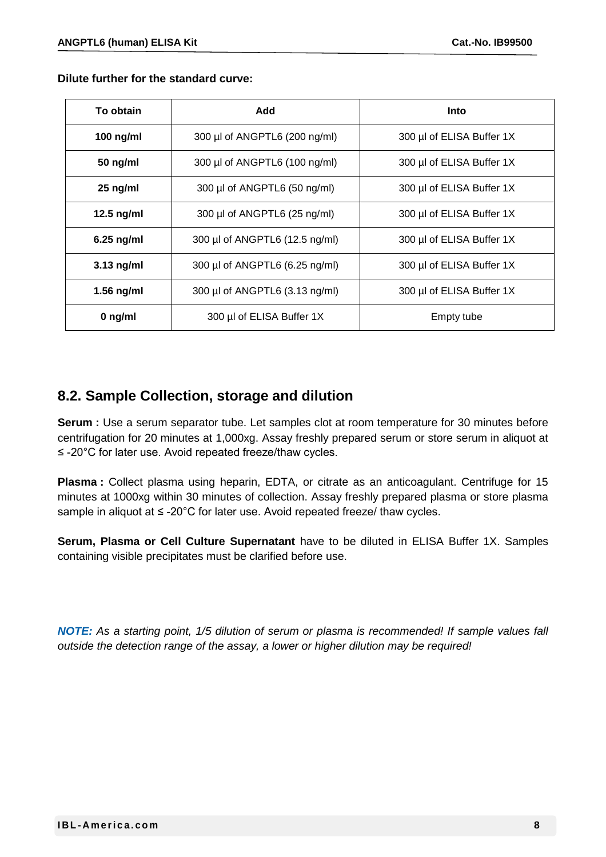**Dilute further for the standard curve:**

| To obtain                                      | Add                                                         | Into                      |  |
|------------------------------------------------|-------------------------------------------------------------|---------------------------|--|
| 100 ng/ml                                      | 300 µl of ANGPTL6 (200 ng/ml)                               | 300 µl of ELISA Buffer 1X |  |
| 50 ng/ml                                       | 300 µl of ANGPTL6 (100 ng/ml)<br>300 µl of ELISA Buffer 1X  |                           |  |
| $25$ ng/ml                                     | 300 µl of ANGPTL6 (50 ng/ml)                                | 300 µl of ELISA Buffer 1X |  |
| 12.5 $ng/ml$                                   | 300 µl of ANGPTL6 (25 ng/ml)                                | 300 µl of ELISA Buffer 1X |  |
| $6.25$ ng/ml                                   | 300 µl of ANGPTL6 (12.5 ng/ml)<br>300 µl of ELISA Buffer 1X |                           |  |
| $3.13$ ng/ml                                   | 300 µl of ANGPTL6 (6.25 ng/ml)                              | 300 µl of ELISA Buffer 1X |  |
| $1.56$ ng/ml<br>300 µl of ANGPTL6 (3.13 ng/ml) |                                                             | 300 µl of ELISA Buffer 1X |  |
| $0$ ng/ml                                      | 300 µl of ELISA Buffer 1X                                   | Empty tube                |  |

#### **8.2. Sample Collection, storage and dilution**

**Serum :** Use a serum separator tube. Let samples clot at room temperature for 30 minutes before centrifugation for 20 minutes at 1,000xg. Assay freshly prepared serum or store serum in aliquot at ≤ -20°C for later use. Avoid repeated freeze/thaw cycles.

**Plasma :** Collect plasma using heparin, EDTA, or citrate as an anticoagulant. Centrifuge for 15 minutes at 1000xg within 30 minutes of collection. Assay freshly prepared plasma or store plasma sample in aliquot at ≤ -20°C for later use. Avoid repeated freeze/ thaw cycles.

**Serum, Plasma or Cell Culture Supernatant** have to be diluted in ELISA Buffer 1X. Samples containing visible precipitates must be clarified before use.

*NOTE: As a starting point, 1/5 dilution of serum or plasma is recommended! If sample values fall outside the detection range of the assay, a lower or higher dilution may be required!*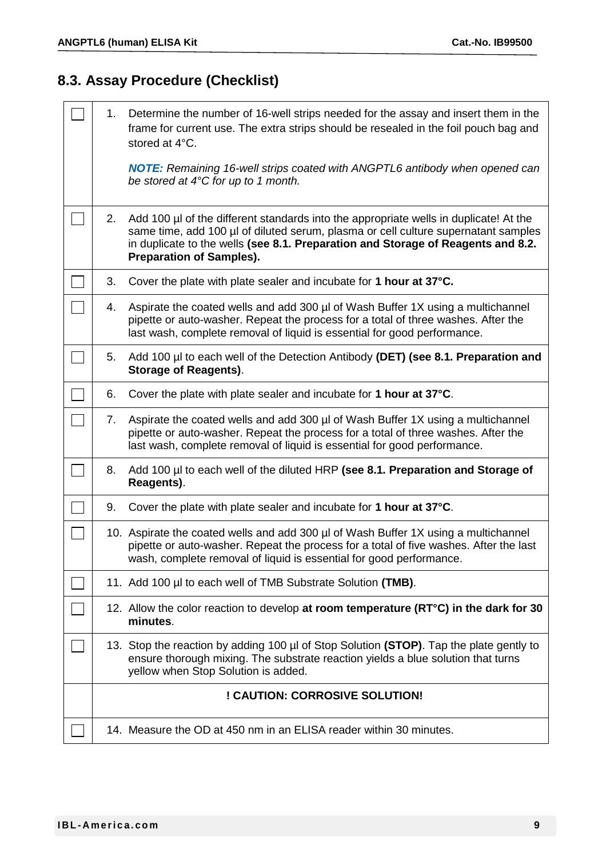# **8.3. Assay Procedure (Checklist)**

| 1. | Determine the number of 16-well strips needed for the assay and insert them in the<br>frame for current use. The extra strips should be resealed in the foil pouch bag and<br>stored at 4°C.                                                                                                          |
|----|-------------------------------------------------------------------------------------------------------------------------------------------------------------------------------------------------------------------------------------------------------------------------------------------------------|
|    | <b>NOTE:</b> Remaining 16-well strips coated with ANGPTL6 antibody when opened can<br>be stored at $4^{\circ}$ C for up to 1 month.                                                                                                                                                                   |
| 2. | Add 100 $\mu$ of the different standards into the appropriate wells in duplicate! At the<br>same time, add 100 µl of diluted serum, plasma or cell culture supernatant samples<br>in duplicate to the wells (see 8.1. Preparation and Storage of Reagents and 8.2.<br><b>Preparation of Samples).</b> |
| 3. | Cover the plate with plate sealer and incubate for 1 hour at 37°C.                                                                                                                                                                                                                                    |
| 4. | Aspirate the coated wells and add 300 µl of Wash Buffer 1X using a multichannel<br>pipette or auto-washer. Repeat the process for a total of three washes. After the<br>last wash, complete removal of liquid is essential for good performance.                                                      |
| 5. | Add 100 µl to each well of the Detection Antibody (DET) (see 8.1. Preparation and<br>Storage of Reagents).                                                                                                                                                                                            |
| 6. | Cover the plate with plate sealer and incubate for 1 hour at 37°C.                                                                                                                                                                                                                                    |
| 7. | Aspirate the coated wells and add 300 µl of Wash Buffer 1X using a multichannel<br>pipette or auto-washer. Repeat the process for a total of three washes. After the<br>last wash, complete removal of liquid is essential for good performance.                                                      |
| 8. | Add 100 µl to each well of the diluted HRP (see 8.1. Preparation and Storage of<br>Reagents).                                                                                                                                                                                                         |
| 9. | Cover the plate with plate sealer and incubate for 1 hour at 37°C.                                                                                                                                                                                                                                    |
|    | 10. Aspirate the coated wells and add 300 µl of Wash Buffer 1X using a multichannel<br>pipette or auto-washer. Repeat the process for a total of five washes. After the last<br>wash, complete removal of liquid is essential for good performance.                                                   |
|    | 11. Add 100 µl to each well of TMB Substrate Solution (TMB).                                                                                                                                                                                                                                          |
|    | 12. Allow the color reaction to develop at room temperature (RT°C) in the dark for 30<br>minutes.                                                                                                                                                                                                     |
|    | 13. Stop the reaction by adding 100 µl of Stop Solution (STOP). Tap the plate gently to<br>ensure thorough mixing. The substrate reaction yields a blue solution that turns<br>yellow when Stop Solution is added.                                                                                    |
|    | ! CAUTION: CORROSIVE SOLUTION!                                                                                                                                                                                                                                                                        |
|    | 14. Measure the OD at 450 nm in an ELISA reader within 30 minutes.                                                                                                                                                                                                                                    |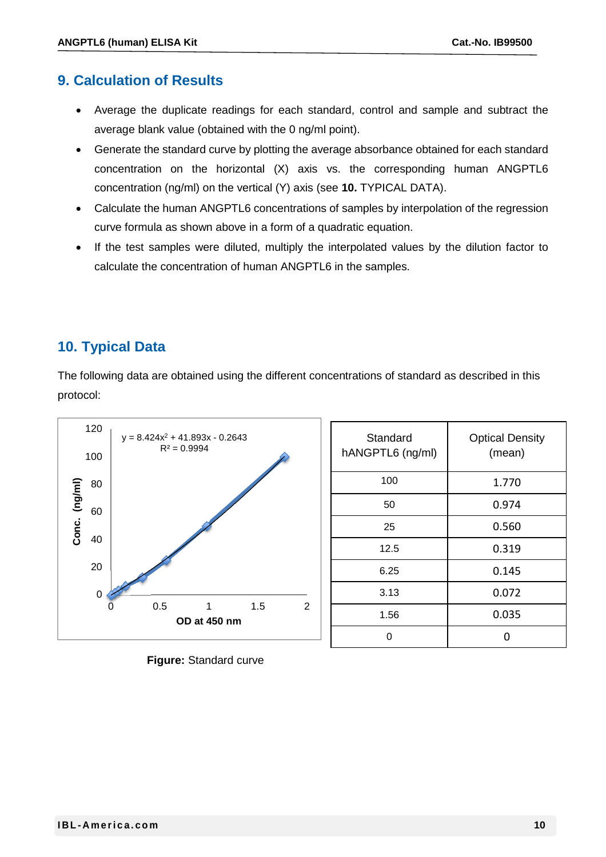### **9. Calculation of Results**

- Average the duplicate readings for each standard, control and sample and subtract the average blank value (obtained with the 0 ng/ml point).
- Generate the standard curve by plotting the average absorbance obtained for each standard concentration on the horizontal (X) axis vs. the corresponding human ANGPTL6 concentration (ng/ml) on the vertical (Y) axis (see **10.** TYPICAL DATA).
- Calculate the human ANGPTL6 concentrations of samples by interpolation of the regression curve formula as shown above in a form of a quadratic equation.
- If the test samples were diluted, multiply the interpolated values by the dilution factor to calculate the concentration of human ANGPTL6 in the samples.

## **10. Typical Data**

The following data are obtained using the different concentrations of standard as described in this protocol:



| Standard<br>hANGPTL6 (ng/ml) | <b>Optical Density</b><br>(mean) |
|------------------------------|----------------------------------|
| 100                          | 1.770                            |
| 50                           | 0.974                            |
| 25                           | 0.560                            |
| 12.5                         | 0.319                            |
| 6.25                         | 0.145                            |
| 3.13                         | 0.072                            |
| 1.56                         | 0.035                            |
|                              |                                  |

**Figure:** Standard curve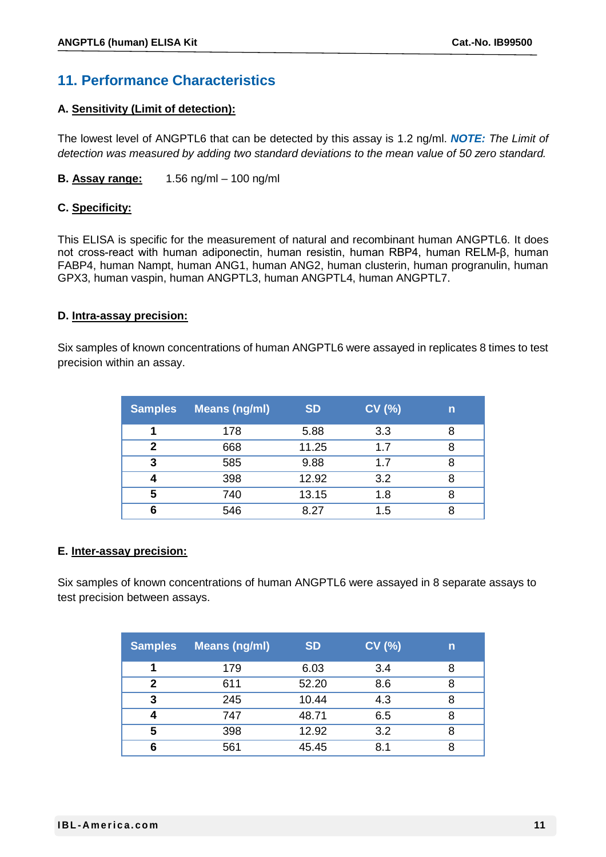## **11. Performance Characteristics**

#### **A. Sensitivity (Limit of detection):**

The lowest level of ANGPTL6 that can be detected by this assay is 1.2 ng/ml. *NOTE: The Limit of detection was measured by adding two standard deviations to the mean value of 50 zero standard.*

**B. Assay range:** 1.56 ng/ml – 100 ng/ml

#### **C. Specificity:**

This ELISA is specific for the measurement of natural and recombinant human ANGPTL6. It does not cross-react with human adiponectin, human resistin, human RBP4, human RELM-β, human FABP4, human Nampt, human ANG1, human ANG2, human clusterin, human progranulin, human GPX3, human vaspin, human ANGPTL3, human ANGPTL4, human ANGPTL7.

#### **D. Intra-assay precision:**

Six samples of known concentrations of human ANGPTL6 were assayed in replicates 8 times to test precision within an assay.

| <b>Samples</b> | Means (ng/ml) | <b>SD</b> | CV(%) | n |
|----------------|---------------|-----------|-------|---|
| 4              | 178           | 5.88      | 3.3   | 8 |
| 2              | 668           | 11.25     | 1.7   | 8 |
| 3              | 585           | 9.88      | 1.7   | 8 |
|                | 398           | 12.92     | 3.2   | 8 |
| 5              | 740           | 13.15     | 1.8   | 8 |
| 6              | 546           | 8.27      | 1.5   |   |

#### **E. Inter-assay precision:**

Six samples of known concentrations of human ANGPTL6 were assayed in 8 separate assays to test precision between assays.

| <b>Samples</b> | <b>Means (ng/ml)</b> | <b>SD</b> | CV(%) | n |
|----------------|----------------------|-----------|-------|---|
| 1              | 179                  | 6.03      | 3.4   | 8 |
| 2              | 611                  | 52.20     | 8.6   | 8 |
| 3              | 245                  | 10.44     | 4.3   | 8 |
|                | 747                  | 48.71     | 6.5   | 8 |
| 5              | 398                  | 12.92     | 3.2   | 8 |
| 6              | 561                  | 45.45     | 8.1   | 8 |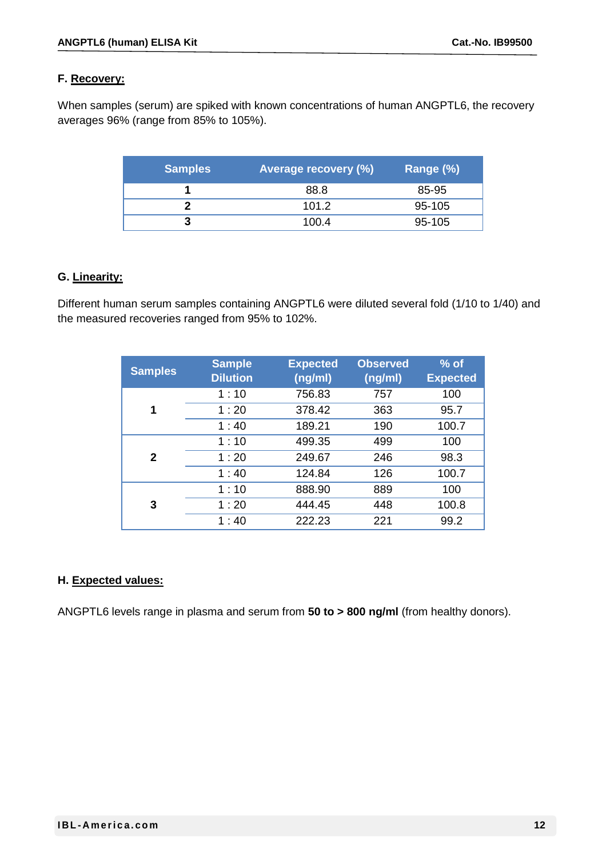#### **F. Recovery:**

When samples (serum) are spiked with known concentrations of human ANGPTL6, the recovery averages 96% (range from 85% to 105%).

| <b>Samples</b> | <b>Average recovery (%)</b> | Range (%) |
|----------------|-----------------------------|-----------|
|                | 88.8                        | 85-95     |
|                | 101.2                       | 95-105    |
|                | 100.4                       | 95-105    |

#### **G. Linearity:**

Different human serum samples containing ANGPTL6 were diluted several fold (1/10 to 1/40) and the measured recoveries ranged from 95% to 102%.

| <b>Samples</b> | <b>Sample</b><br><b>Dilution</b> | <b>Expected</b><br>(ng/ml) | <b>Observed</b><br>(ng/ml) | $%$ of<br><b>Expected</b> |
|----------------|----------------------------------|----------------------------|----------------------------|---------------------------|
|                | 1:10                             | 756.83                     | 757                        | 100                       |
| 1              | 1:20                             | 378.42                     | 363                        | 95.7                      |
|                | 1:40                             | 189.21                     | 190                        | 100.7                     |
|                | 1:10                             | 499.35                     | 499                        | 100                       |
| $\mathbf{2}$   | 1:20                             | 249.67                     | 246                        | 98.3                      |
|                | 1:40                             | 124.84                     | 126                        | 100.7                     |
|                | 1:10                             | 888.90                     | 889                        | 100                       |
| 3              | 1:20                             | 444.45                     | 448                        | 100.8                     |
|                | 1:40                             | 222.23                     | 221                        | 99.2                      |

#### **H. Expected values:**

ANGPTL6 levels range in plasma and serum from **50 to > 800 ng/ml** (from healthy donors).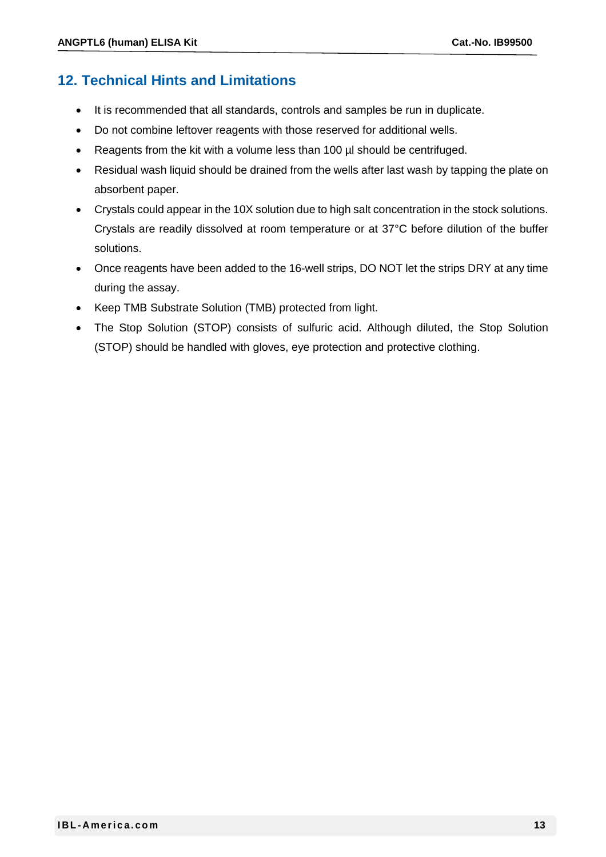## **12. Technical Hints and Limitations**

- It is recommended that all standards, controls and samples be run in duplicate.
- Do not combine leftover reagents with those reserved for additional wells.
- Reagents from the kit with a volume less than 100 µl should be centrifuged.
- Residual wash liquid should be drained from the wells after last wash by tapping the plate on absorbent paper.
- Crystals could appear in the 10X solution due to high salt concentration in the stock solutions. Crystals are readily dissolved at room temperature or at 37°C before dilution of the buffer solutions.
- Once reagents have been added to the 16-well strips, DO NOT let the strips DRY at any time during the assay.
- Keep TMB Substrate Solution (TMB) protected from light.
- The Stop Solution (STOP) consists of sulfuric acid. Although diluted, the Stop Solution (STOP) should be handled with gloves, eye protection and protective clothing.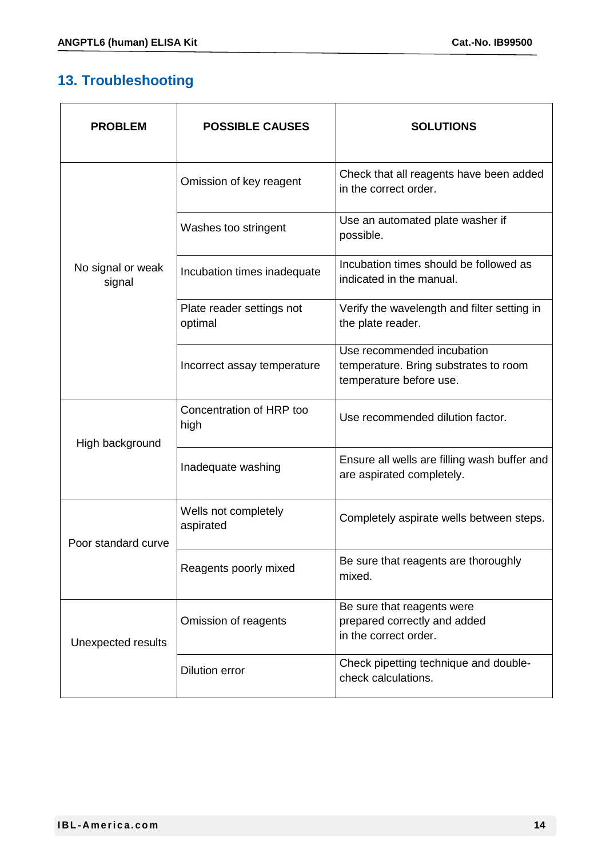# **13. Troubleshooting**

| <b>PROBLEM</b>              | <b>POSSIBLE CAUSES</b>               | <b>SOLUTIONS</b>                                                                               |
|-----------------------------|--------------------------------------|------------------------------------------------------------------------------------------------|
|                             | Omission of key reagent              | Check that all reagents have been added<br>in the correct order.                               |
|                             | Washes too stringent                 | Use an automated plate washer if<br>possible.                                                  |
| No signal or weak<br>signal | Incubation times inadequate          | Incubation times should be followed as<br>indicated in the manual.                             |
|                             | Plate reader settings not<br>optimal | Verify the wavelength and filter setting in<br>the plate reader.                               |
|                             | Incorrect assay temperature          | Use recommended incubation<br>temperature. Bring substrates to room<br>temperature before use. |
| High background             | Concentration of HRP too<br>high     | Use recommended dilution factor.                                                               |
|                             | Inadequate washing                   | Ensure all wells are filling wash buffer and<br>are aspirated completely.                      |
| Poor standard curve         | Wells not completely<br>aspirated    | Completely aspirate wells between steps.                                                       |
|                             | Reagents poorly mixed                | Be sure that reagents are thoroughly<br>mixed.                                                 |
| Unexpected results          | Omission of reagents                 | Be sure that reagents were<br>prepared correctly and added<br>in the correct order.            |
|                             | <b>Dilution error</b>                | Check pipetting technique and double-<br>check calculations.                                   |